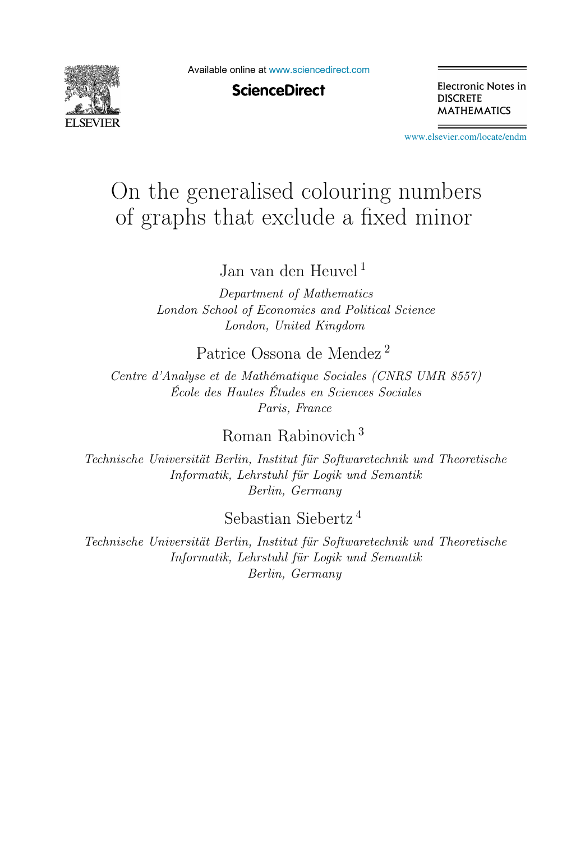

Available online at [www.sciencedirect.com](http://www.sciencedirect.com)

## **ScienceDirect**

Electronic Notes in **DISCRETE MATHEMATICS** 

[www.elsevier.com/locate/endm](http://www.elsevier.com/locate/endm)

# On the generalised colouring numbers of graphs that exclude a fixed minor

Jan van den Heuvel <sup>1</sup>

Department of Mathematics London School of Economics and Political Science London, United Kingdom

## Patrice Ossona de Mendez <sup>2</sup>

Centre d'Analyse et de Mathématique Sociales (CNRS UMR 8557) École des Hautes Études en Sciences Sociales Paris, France

# Roman Rabinovich <sup>3</sup>

Technische Universität Berlin, Institut für Softwaretechnik und Theoretische Informatik, Lehrstuhl für Logik und Semantik Berlin, Germany

Sebastian Siebertz <sup>4</sup>

Technische Universität Berlin, Institut für Softwaretechnik und Theoretische Informatik, Lehrstuhl für Logik und Semantik Berlin, Germany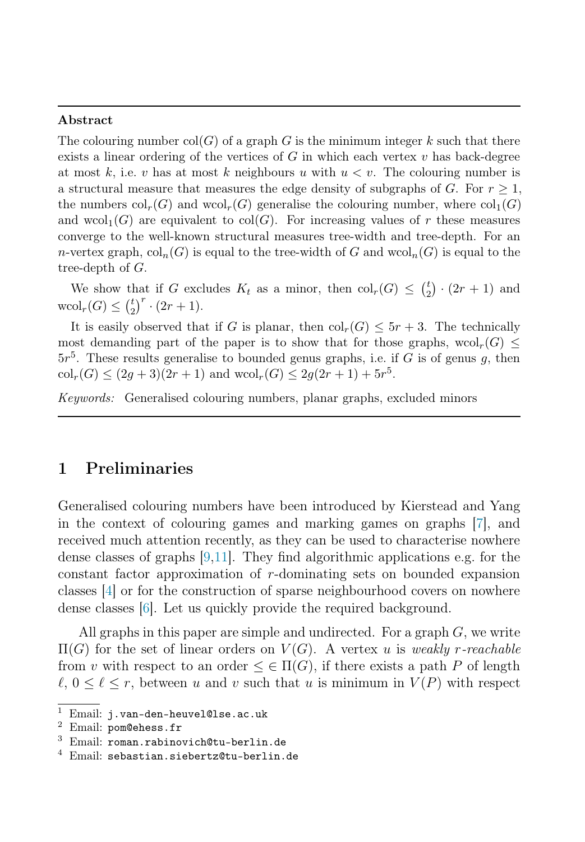#### Abstract

The colouring number  $col(G)$  of a graph G is the minimum integer k such that there exists a linear ordering of the vertices of  $G$  in which each vertex  $v$  has back-degree at most k, i.e. v has at most k neighbours u with  $u < v$ . The colouring number is a structural measure that measures the edge density of subgraphs of G. For  $r \geq 1$ , the numbers  $col_r(G)$  and  $wcol_r(G)$  generalise the colouring number, where  $col_1(G)$ and  $wcol_1(G)$  are equivalent to  $col(G)$ . For increasing values of r these measures converge to the well-known structural measures tree-width and tree-depth. For an n-vertex graph,  $\text{col}_n(G)$  is equal to the tree-width of G and  $\text{wcol}_n(G)$  is equal to the tree-depth of  $G$ .

We show that if G excludes  $K_t$  as a minor, then  $\text{col}_r(G) \leq {t \choose 2} \cdot (2r+1)$  and  $\mathrm{wcol}_r(G) \le {t \choose 2}^r \cdot (2r+1).$ 

It is easily observed that if G is planar, then  $\text{col}_r(G) \leq 5r + 3$ . The technically most demanding part of the paper is to show that for those graphs,  $wcol_r(G)$  $5r<sup>5</sup>$ . These results generalise to bounded genus graphs, i.e. if G is of genus g, then  $\text{col}_r(G) \leq (2g+3)(2r+1)$  and  $\text{wcol}_r(G) \leq 2g(2r+1)+5r^5$ .

Keywords: Generalised colouring numbers, planar graphs, excluded minors

### 1 Preliminaries

Generalised colouring numbers have been introduced by Kierstead and Yang in the context of colouring games and marking games on graphs [\[7\]](#page-7-0), and received much attention recently, as they can be used to characterise nowhere dense classes of graphs  $[9,11]$  $[9,11]$ . They find algorithmic applications e.g. for the constant factor approximation of r-dominating sets on bounded expansion classes [\[4\]](#page-6-0) or for the construction of sparse neighbourhood covers on nowhere dense classes [\[6\]](#page-6-1). Let us quickly provide the required background.

All graphs in this paper are simple and undirected. For a graph  $G$ , we write  $\Pi(G)$  for the set of linear orders on  $V(G)$ . A vertex u is weakly r-reachable from v with respect to an order  $\leq \in \Pi(G)$ , if there exists a path P of length  $\ell, 0 \leq \ell \leq r$ , between u and v such that u is minimum in  $V(P)$  with respect

<sup>&</sup>lt;sup>1</sup> Email: j.van-den-heuvel@lse.ac.uk <sup>2</sup> Email: pom@ehess.fr

<sup>3</sup> Email: roman.rabinovich@tu-berlin.de

<sup>4</sup> Email: sebastian.siebertz@tu-berlin.de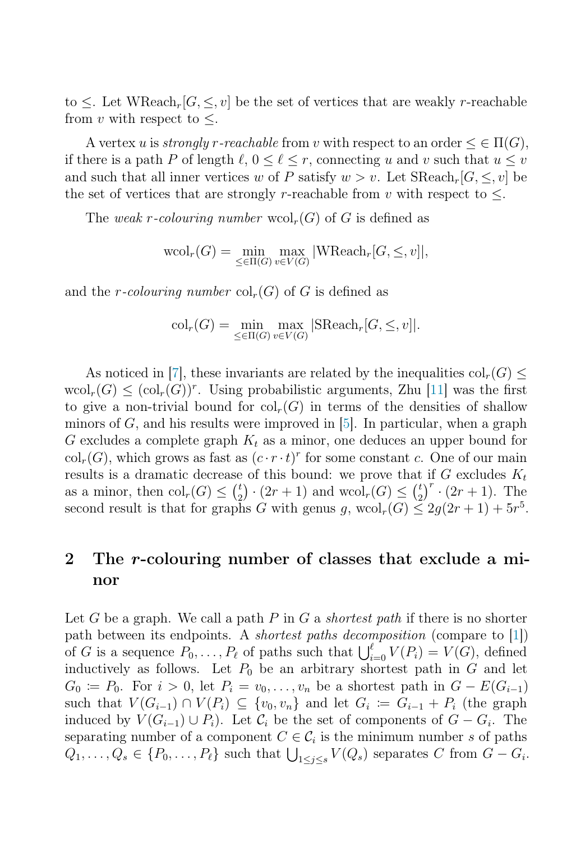to  $\leq$ . Let WReach<sub>r</sub>[ $G, \leq v$ ] be the set of vertices that are weakly r-reachable from v with respect to  $\leq$ .

A vertex u is *strongly r-reachable* from v with respect to an order  $\leq \in \Pi(G)$ , if there is a path P of length  $\ell, 0 \leq \ell \leq r$ , connecting u and v such that  $u \leq v$ and such that all inner vertices w of P satisfy  $w > v$ . Let  $\text{SReach}_r[G, \leq v]$  be the set of vertices that are strongly r-reachable from v with respect to  $\leq$ .

The weak r-colouring number  $\text{wcol}_r(G)$  of G is defined as

$$
\mathrm{wcol}_r(G) = \min_{\leq \in \Pi(G)} \max_{v \in V(G)} |\mathrm{WReach}_r[G, \leq, v]|,
$$

and the r-colouring number  $\text{col}_r(G)$  of G is defined as

$$
col_r(G) = \min_{\leq \in \Pi(G)} \max_{v \in V(G)} |SReach_r[G, \leq, v]|.
$$

As noticed in [\[7\]](#page-7-0), these invariants are related by the inequalities  $col_r(G)$  $\text{wcol}_r(G) \leq (\text{col}_r(G))^r$ . Using probabilistic arguments, Zhu [\[11\]](#page-7-2) was the first to give a non-trivial bound for  $\text{col}_r(G)$  in terms of the densities of shallow minors of  $G$ , and his results were improved in  $[5]$ . In particular, when a graph G excludes a complete graph  $K_t$  as a minor, one deduces an upper bound for  $\text{col}_r(G)$ , which grows as fast as  $(c \cdot r \cdot t)^r$  for some constant c. One of our main results is a dramatic decrease of this bound: we prove that if  $G$  excludes  $K_t$ as a minor, then  $\text{col}_r(G) \leq {t \choose 2} \cdot (2r+1)$  and  $\text{wcol}_r(G) \leq {t \choose 2}^r \cdot (2r+1)$ . The second result is that for graphs G with genus g,  $\text{wcol}_r(G) \leq 2g(2r+1) + 5r^5$ .

# 2 The r-colouring number of classes that exclude a minor

Let G be a graph. We call a path P in G a *shortest path* if there is no shorter path between its endpoints. A shortest paths decomposition (compare to [\[1\]](#page-6-3)) of G is a sequence  $P_0, \ldots, P_\ell$  of paths such that  $\bigcup_{i=0}^{\ell} V(P_i) = V(G)$ , defined inductively as follows. Let  $P_0$  be an arbitrary shortest path in  $G$  and let  $G_0 \coloneqq P_0$ . For  $i > 0$ , let  $P_i = v_0, \ldots, v_n$  be a shortest path in  $G - E(G_{i-1})$ such that  $V(G_{i-1}) \cap V(P_i) \subseteq \{v_0, v_n\}$  and let  $G_i := G_{i-1} + P_i$  (the graph induced by  $V(G_{i-1}) \cup P_i$ ). Let  $\mathcal{C}_i$  be the set of components of  $G - G_i$ . The separating number of a component  $C \in \mathcal{C}_i$  is the minimum number s of paths  $Q_1, \ldots, Q_s \in \{P_0, \ldots, P_\ell\}$  such that  $\bigcup_{1 \leq j \leq s} V(Q_s)$  separates C from  $G - G_i$ .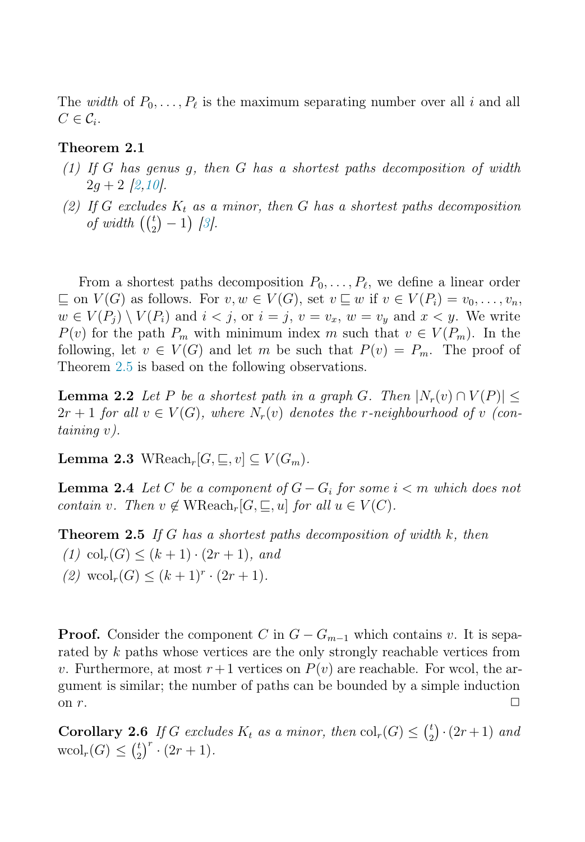The *width* of  $P_0, \ldots, P_\ell$  is the maximum separating number over all i and all  $C \in \mathcal{C}_i$ .

#### Theorem 2.1

- $(1)$  If G has genus q, then G has a shortest paths decomposition of width  $2q + 2$  [\[2](#page-6-4)[,10\]](#page-7-3).
- (2) If G excludes  $K_t$  as a minor, then G has a shortest paths decomposition of width  $\left(\binom{t}{2} - 1\right)$  [\[3\]](#page-6-5).

From a shortest paths decomposition  $P_0, \ldots, P_\ell$ , we define a linear order  $\sqsubseteq$  on  $V(G)$  as follows. For  $v, w \in V(G)$ , set  $v \sqsubseteq w$  if  $v \in V(P_i) = v_0, \ldots, v_n$ ,  $w \in V(P_i) \setminus V(P_i)$  and  $i < j$ , or  $i = j$ ,  $v = v_x$ ,  $w = v_y$  and  $x < y$ . We write  $P(v)$  for the path  $P_m$  with minimum index m such that  $v \in V(P_m)$ . In the following, let  $v \in V(G)$  and let m be such that  $P(v) = P_m$ . The proof of Theorem [2.5](#page-3-0) is based on the following observations.

**Lemma 2.2** Let P be a shortest path in a graph G. Then  $|N_r(v) \cap V(P)|$  $2r + 1$  for all  $v \in V(G)$ , where  $N_r(v)$  denotes the r-neighbourhood of v (containing v).

Lemma 2.3 WReach<sub>r</sub>[ $G, \subseteq, v$ ] ⊂  $V(G_m)$ .

<span id="page-3-0"></span>**Lemma 2.4** Let C be a component of  $G - G_i$  for some  $i < m$  which does not contain v. Then  $v \notin \mathrm{WReach}_r[G, \sqsubseteq, u]$  for all  $u \in V(C)$ .

**Theorem 2.5** If G has a shortest paths decomposition of width  $k$ , then (1) col<sub>r</sub> $(G) \leq (k + 1) \cdot (2r + 1)$ , and (2)  $\text{wcol}_r(G) \leq (k+1)^r \cdot (2r+1)$ .

**Proof.** Consider the component C in  $G - G_{m-1}$  which contains v. It is separated by k paths whose vertices are the only strongly reachable vertices from v. Furthermore, at most  $r+1$  vertices on  $P(v)$  are reachable. For wcol, the argument is similar; the number of paths can be bounded by a simple induction on  $r$ .

**Corollary 2.6** If G excludes  $K_t$  as a minor, then  $col_r(G) \leq {t \choose 2} \cdot (2r+1)$  and  $\mathrm{wcol}_r(G) \le {t \choose 2}^r \cdot (2r+1).$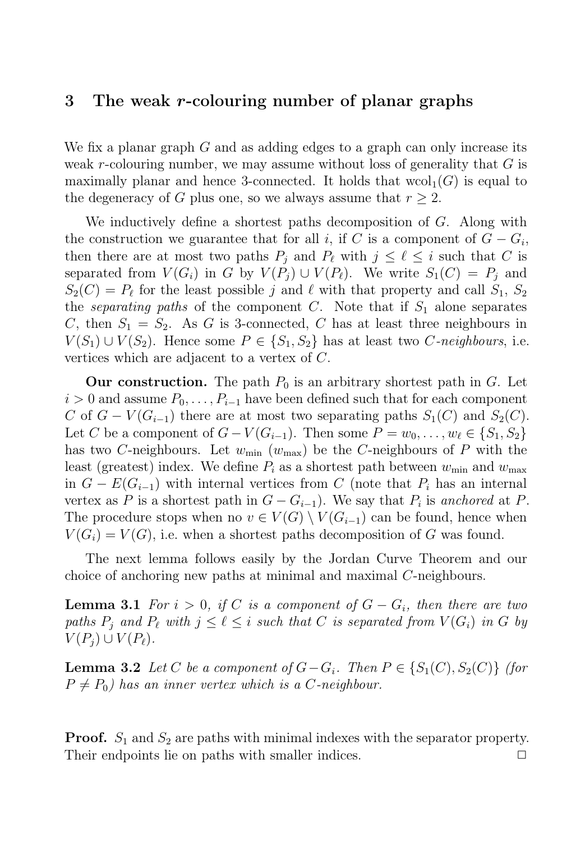#### 3 The weak r-colouring number of planar graphs

We fix a planar graph  $G$  and as adding edges to a graph can only increase its weak r-colouring number, we may assume without loss of generality that  $G$  is maximally planar and hence 3-connected. It holds that  $\text{wcol}_1(G)$  is equal to the degeneracy of G plus one, so we always assume that  $r > 2$ .

We inductively define a shortest paths decomposition of  $G$ . Along with the construction we guarantee that for all i, if C is a component of  $G - G_i$ , then there are at most two paths  $P_i$  and  $P_\ell$  with  $j \leq \ell \leq i$  such that C is separated from  $V(G_i)$  in G by  $V(P_j) \cup V(P_\ell)$ . We write  $S_1(C) = P_i$  and  $S_2(C) = P_\ell$  for the least possible j and  $\ell$  with that property and call  $S_1, S_2$ the *separating paths* of the component C. Note that if  $S_1$  alone separates C, then  $S_1 = S_2$ . As G is 3-connected, C has at least three neighbours in  $V(S_1) \cup V(S_2)$ . Hence some  $P \in \{S_1, S_2\}$  has at least two C-neighbours, i.e. vertices which are adjacent to a vertex of C.

Our construction. The path  $P_0$  is an arbitrary shortest path in G. Let  $i > 0$  and assume  $P_0, \ldots, P_{i-1}$  have been defined such that for each component C of  $G - V(G_{i-1})$  there are at most two separating paths  $S_1(C)$  and  $S_2(C)$ . Let C be a component of  $G - V(G_{i-1})$ . Then some  $P = w_0, \ldots, w_\ell \in \{S_1, S_2\}$ has two C-neighbours. Let  $w_{\text{min}} (w_{\text{max}})$  be the C-neighbours of P with the least (greatest) index. We define  $P_i$  as a shortest path between  $w_{\min}$  and  $w_{\max}$ in  $G - E(G_{i-1})$  with internal vertices from C (note that  $P_i$  has an internal vertex as P is a shortest path in  $G - G_{i-1}$ ). We say that  $P_i$  is anchored at P. The procedure stops when no  $v \in V(G) \setminus V(G_{i-1})$  can be found, hence when  $V(G_i) = V(G)$ , i.e. when a shortest paths decomposition of G was found.

The next lemma follows easily by the Jordan Curve Theorem and our choice of anchoring new paths at minimal and maximal C-neighbours.

**Lemma 3.1** For  $i > 0$ , if C is a component of  $G - G_i$ , then there are two paths  $P_i$  and  $P_\ell$  with  $j \leq \ell \leq i$  such that C is separated from  $V(G_i)$  in G by  $V(P_i) \cup V(P_{\ell}).$ 

**Lemma 3.2** Let C be a component of  $G - G_i$ . Then  $P \in \{S_1(C), S_2(C)\}$  (for  $P \neq P_0$ ) has an inner vertex which is a C-neighbour.

**Proof.**  $S_1$  and  $S_2$  are paths with minimal indexes with the separator property. Their endpoints lie on paths with smaller indices.  $\Box$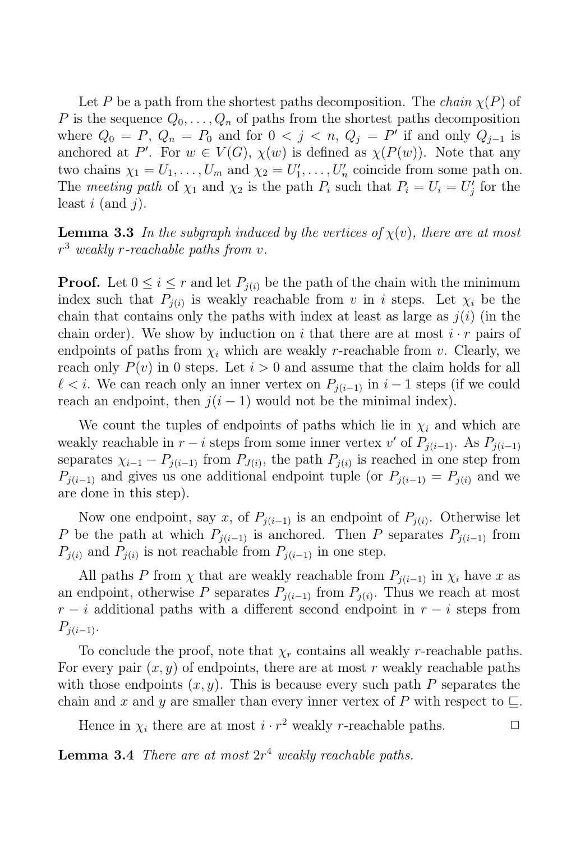<span id="page-5-0"></span>Let P be a path from the shortest paths decomposition. The *chain*  $\chi(P)$  of P is the sequence  $Q_0, \ldots, Q_n$  of paths from the shortest paths decomposition where  $Q_0 = P$ ,  $Q_n = P_0$  and for  $0 < j < n$ ,  $Q_j = P'$  if and only  $Q_{j-1}$  is anchored at P'. For  $w \in V(G)$ ,  $\chi(w)$  is defined as  $\chi(P(w))$ . Note that any two chains  $\chi_1 = U_1, \ldots, U_m$  and  $\chi_2 = U'_1, \ldots, U'_n$  coincide from some path on. The meeting path of  $\chi_1$  and  $\chi_2$  is the path  $P_i$  such that  $P_i = U_i = U'_j$  for the least  $i$  (and  $j$ ).

**Lemma 3.3** In the subgraph induced by the vertices of  $\chi(v)$ , there are at most  $r^3$  weakly r-reachable paths from v.

**Proof.** Let  $0 \leq i \leq r$  and let  $P_{i(i)}$  be the path of the chain with the minimum index such that  $P_{i(i)}$  is weakly reachable from v in i steps. Let  $\chi_i$  be the chain that contains only the paths with index at least as large as  $j(i)$  (in the chain order). We show by induction on i that there are at most  $i \cdot r$  pairs of endpoints of paths from  $\chi_i$  which are weakly r-reachable from v. Clearly, we reach only  $P(v)$  in 0 steps. Let  $i > 0$  and assume that the claim holds for all  $\ell < i$ . We can reach only an inner vertex on  $P_{i(i-1)}$  in  $i-1$  steps (if we could reach an endpoint, then  $j(i - 1)$  would not be the minimal index).

We count the tuples of endpoints of paths which lie in  $\chi_i$  and which are weakly reachable in  $r - i$  steps from some inner vertex v' of  $P_{j(i-1)}$ . As  $P_{j(i-1)}$ separates  $\chi_{i-1} - P_{j(i-1)}$  from  $P_{J(i)}$ , the path  $P_{j(i)}$  is reached in one step from  $P_{i(i-1)}$  and gives us one additional endpoint tuple (or  $P_{i(i-1)} = P_{i(i)}$  and we are done in this step).

Now one endpoint, say x, of  $P_{i(i-1)}$  is an endpoint of  $P_{i(i)}$ . Otherwise let P be the path at which  $P_{j(i-1)}$  is anchored. Then P separates  $P_{j(i-1)}$  from  $P_{i(i)}$  and  $P_{i(i)}$  is not reachable from  $P_{i(i-1)}$  in one step.

All paths P from  $\chi$  that are weakly reachable from  $P_{j(i-1)}$  in  $\chi_i$  have x as an endpoint, otherwise P separates  $P_{j(i-1)}$  from  $P_{j(i)}$ . Thus we reach at most  $r - i$  additional paths with a different second endpoint in  $r - i$  steps from  $P_{j(i-1)}$ .

To conclude the proof, note that  $\chi_r$  contains all weakly r-reachable paths. For every pair  $(x, y)$  of endpoints, there are at most r weakly reachable paths with those endpoints  $(x, y)$ . This is because every such path P separates the chain and x and y are smaller than every inner vertex of P with respect to  $\Box$ .

Hence in  $\chi_i$  there are at most  $i \cdot r^2$  weakly r-reachable paths.  $\Box$ 

**Lemma 3.4** There are at most  $2r^4$  weakly reachable paths.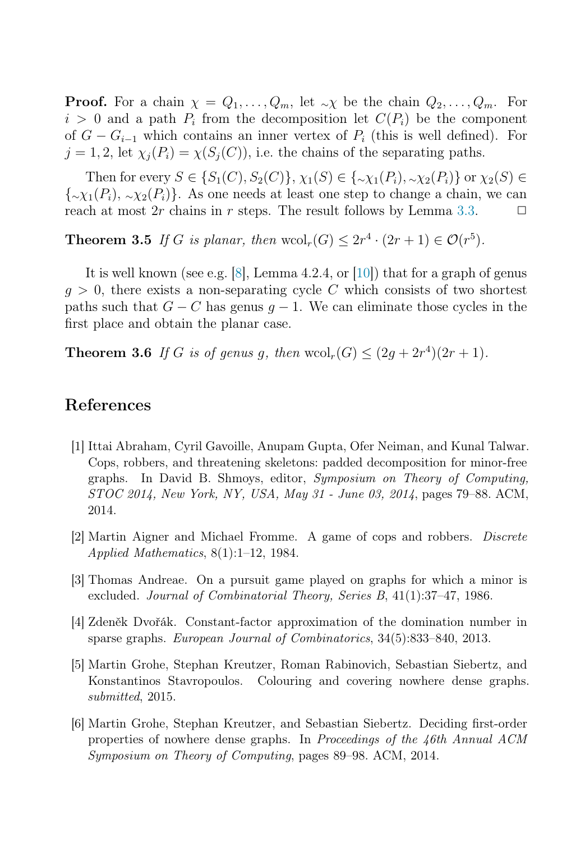**Proof.** For a chain  $\chi = Q_1, \ldots, Q_m$ , let  $\sim \chi$  be the chain  $Q_2, \ldots, Q_m$ . For  $i > 0$  and a path  $P_i$  from the decomposition let  $C(P_i)$  be the component of  $G - G_{i-1}$  which contains an inner vertex of  $P_i$  (this is well defined). For  $j = 1, 2$ , let  $\chi_i(P_i) = \chi(S_i(C))$ , i.e. the chains of the separating paths.

Then for every  $S \in \{S_1(C), S_2(C)\}, \chi_1(S) \in \{\sim \chi_1(P_i), \sim \chi_2(P_i)\}$  or  $\chi_2(S) \in$  ${\{\sim}\chi_1(P_i), \{\sim}\chi_2(P_i)\}.$  As one needs at least one step to change a chain, we can reach at most 2r chains in r steps. The result follows by Lemma [3.3.](#page-5-0)  $\Box$ 

**Theorem 3.5** If G is planar, then wcol<sub>r</sub> $(G) \leq 2r^4 \cdot (2r+1) \in \mathcal{O}(r^5)$ .

It is well known (see e.g. [\[8\]](#page-7-4), Lemma 4.2.4, or [\[10\]](#page-7-3)) that for a graph of genus  $q > 0$ , there exists a non-separating cycle C which consists of two shortest paths such that  $G - C$  has genus  $g - 1$ . We can eliminate those cycles in the first place and obtain the planar case.

<span id="page-6-3"></span>**Theorem 3.6** If G is of genus g, then  $\text{wcol}_r(G) \leq (2g + 2r^4)(2r + 1)$ .

### References

- <span id="page-6-4"></span>[1] Ittai Abraham, Cyril Gavoille, Anupam Gupta, Ofer Neiman, and Kunal Talwar. Cops, robbers, and threatening skeletons: padded decomposition for minor-free graphs. In David B. Shmoys, editor, Symposium on Theory of Computing, STOC 2014, New York, NY, USA, May 31 - June 03, 2014, pages 79–88. ACM, 2014.
- <span id="page-6-5"></span><span id="page-6-0"></span>[2] Martin Aigner and Michael Fromme. A game of cops and robbers. Discrete Applied Mathematics, 8(1):1–12, 1984.
- <span id="page-6-2"></span>[3] Thomas Andreae. On a pursuit game played on graphs for which a minor is excluded. Journal of Combinatorial Theory, Series B, 41(1):37–47, 1986.
- [4] Zdeněk Dvořák. Constant-factor approximation of the domination number in sparse graphs. European Journal of Combinatorics, 34(5):833–840, 2013.
- <span id="page-6-1"></span>[5] Martin Grohe, Stephan Kreutzer, Roman Rabinovich, Sebastian Siebertz, and Konstantinos Stavropoulos. Colouring and covering nowhere dense graphs. submitted, 2015.
- [6] Martin Grohe, Stephan Kreutzer, and Sebastian Siebertz. Deciding first-order properties of nowhere dense graphs. In Proceedings of the 46th Annual ACM Symposium on Theory of Computing, pages 89–98. ACM, 2014.